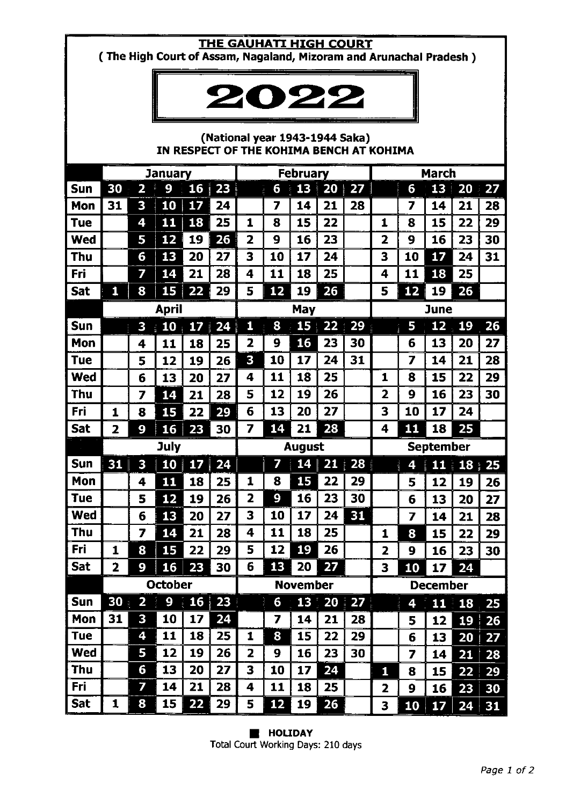# THE GAUHATI HIGH COURT

(The High Court of Assam, Nagaland, Mizoram and Arunachal Pradesh)



## (National year 1943-1944 Saka) IN RESPECT OF THE KOHIMA BENCH AT KOHIMA

|            | <b>January</b> |                  |                |                  | <b>February</b>    |                         |    |                 | <b>March</b>         |           |                         |    |                 |    |                           |
|------------|----------------|------------------|----------------|------------------|--------------------|-------------------------|----|-----------------|----------------------|-----------|-------------------------|----|-----------------|----|---------------------------|
| Sun        | 30             | 2                | 9              | 16               | 23<br>ti<br>Serial |                         | 6  | 13<br>į         | 20<br>♦              | 27        |                         | 6  | 13              | 20 | 27                        |
| Mon        | 31             | 3                | 10             | 17               | 24                 |                         | 7  | 14              | 21                   | 28        |                         | 7  | 14              | 21 | 28                        |
| <b>Tue</b> |                | 4                | 11             | 18               | 25                 | 1                       | 8  | 15              | 22                   |           | 1                       | 8  | 15              | 22 | 29                        |
| <b>Wed</b> |                | 5                | 12             | 19               | 26                 | $\overline{\mathbf{2}}$ | 9  | 16              | 23                   |           | 2                       | 9  | 16              | 23 | 30                        |
| Thu        |                | 6                | 13             | 20               | 27                 | 3                       | 10 | 17              | 24                   |           | 3                       | 10 | 17              | 24 | 31                        |
| Fri        |                | 7                | 14             | 21               | 28                 | 4                       | 11 | 18              | 25                   |           | 4                       | 11 | 18              | 25 |                           |
| Sat        | $\mathbf{1}$   | 8                | 15             | 22               | 29                 | 5                       | 12 | 19              | 26                   |           | 5                       | 12 | 19              | 26 |                           |
|            | <b>April</b>   |                  |                |                  |                    | May                     |    |                 |                      |           | <b>June</b>             |    |                 |    |                           |
| Sun        |                | 3                | 10             | 17<br>$\ddot{i}$ | 24                 | 1                       | 8  |                 | $15 \,   \, 22 \,  $ | 29        |                         | 5  | 12              | 19 | 26                        |
| Mon        |                | 4                | 11             | 18               | 25                 | 2                       | 9  | 16              | 23                   | 30        |                         | 6  | 13              | 20 | 27                        |
| Tue        |                | 5                | 12             | 19               | 26                 | 3                       | 10 | 17              | 24                   | 31        |                         | 7  | 14              | 21 | 28                        |
| <b>Wed</b> |                | 6                | 13             | 20               | 27                 | 4                       | 11 | 18              | 25                   |           | 1                       | 8  | 15              | 22 | 29                        |
| Thu        |                | 7                | 14             | 21               | 28                 | 5                       | 12 | 19              | 26                   |           | 2                       | 9  | 16              | 23 | 30                        |
| Fri        | 1              | 8                | 15             | 22               | 29                 | 6                       | 13 | 20              | 27                   |           | 3                       | 10 | 17              | 24 |                           |
| <b>Sat</b> | 2              | 9                | <b>16</b>      | 23               | 30                 | 7                       | 14 | 21              | 28                   |           | 4                       | 11 | 18              | 25 |                           |
|            | July           |                  |                |                  | <b>August</b>      |                         |    |                 |                      |           |                         |    |                 |    |                           |
|            |                |                  |                |                  |                    |                         |    |                 |                      |           |                         |    | September       |    |                           |
| Sun        | 31             | 3                | 10             | 17               | 24                 |                         | 7  | 14              | 21                   | 28        |                         | 4  | 11:             |    | $18 \overline{\smash)25}$ |
| Mon        |                | 4                | 11             | 18               | 25                 | 1                       | 8  | 15              | 22                   | 29        |                         | 5  | 12              | 19 | 26                        |
| <b>Tue</b> |                | 5                | 12             | 19               | 26                 | 2                       | 9  | 16              | 23                   | 30        |                         | 6  | 13              | 20 | 27                        |
| <b>Wed</b> |                | 6                | 13             | 20               | 27                 | 3                       | 10 | 17              | 24                   | 31        |                         | 7  | 14              | 21 | 28                        |
| Thu        |                | 7                | 14             | 21               | 28                 | 4                       | 11 | 18              | 25                   |           | 1                       | 8  | 15              | 22 | 29                        |
| Fri        | 1              | 8                | 15             | 22               | 29                 | 5                       | 12 | 19              | 26                   |           | $\overline{\mathbf{z}}$ | 9  | 16              | 23 | 30                        |
| Sat        | 2              | 9                | 16             | 23               | 30                 | 6                       | 13 | 20              | 27                   |           | 3                       | 10 | 17              | 24 |                           |
|            |                |                  | <b>October</b> |                  |                    |                         |    | <b>November</b> |                      |           |                         |    | <b>December</b> |    |                           |
| <b>Sun</b> | 30             | 2<br>$\tilde{Q}$ | ł.<br>9        | <b>16</b><br>j.  | 23<br>Ŕ            |                         | 6  | 13              | 20<br>÷.             | 27<br>ni. |                         | 4  | 11              | 18 | 25                        |
| Mon        | 31             | 3                | 10             | 17               | 24                 |                         | 7  | 14              | 21                   | 28        |                         | 5  | 12              | 19 | 26                        |
| <b>Tue</b> |                | 4                | 11             | 18               | 25                 | 1                       | 8  | 15              | 22                   | 29        |                         | 6  | 13              | 20 | 27                        |
| <b>Wed</b> |                | 5                | 12             | 19               | 26                 | 2                       | 9  | 16              | 23                   | 30        |                         | 7  | 14              | 21 | 28                        |
| Thu        |                | 6                | 13             | 20               | 27                 | 3                       | 10 | 17              | 24                   |           | 1                       | 8  | 15              | 22 | 29                        |
| Fri        |                | 7                | 14             | 21               | 28                 | 4                       | 11 | 18              | 25                   |           | 2                       | 9  | 16              | 23 | 30                        |

**B** HOLIDAY Total Court Working Days: 210 days